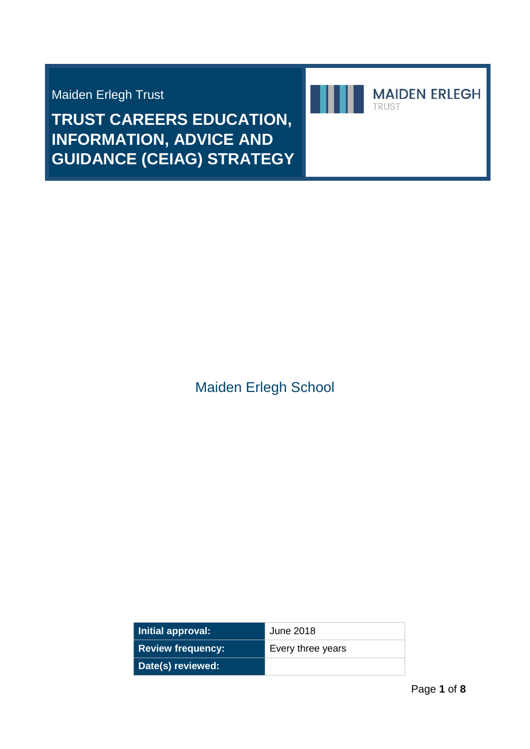Maiden Erlegh Trust

**TRUST CAREERS EDUCATION, INFORMATION, ADVICE AND GUIDANCE (CEIAG) STRATEGY**



Maiden Erlegh School

| Initial approval:        | June 2018         |
|--------------------------|-------------------|
| <b>Review frequency:</b> | Every three years |
| Date(s) reviewed:        |                   |

**MAIDEN ERLEGH** 

TRUST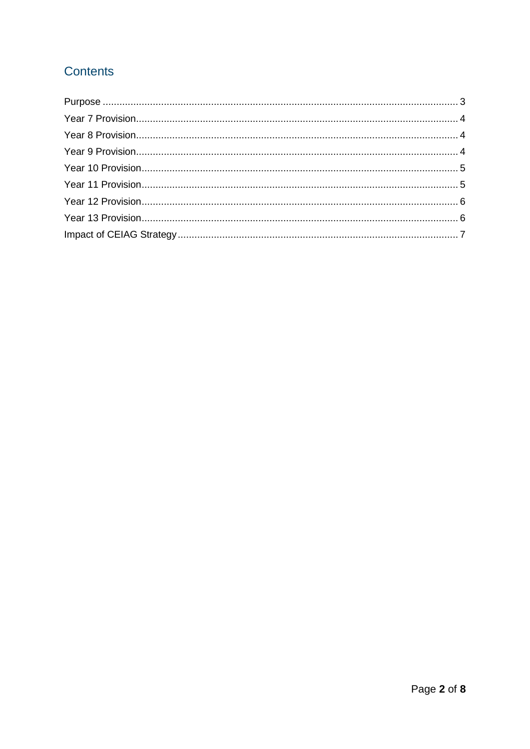# Contents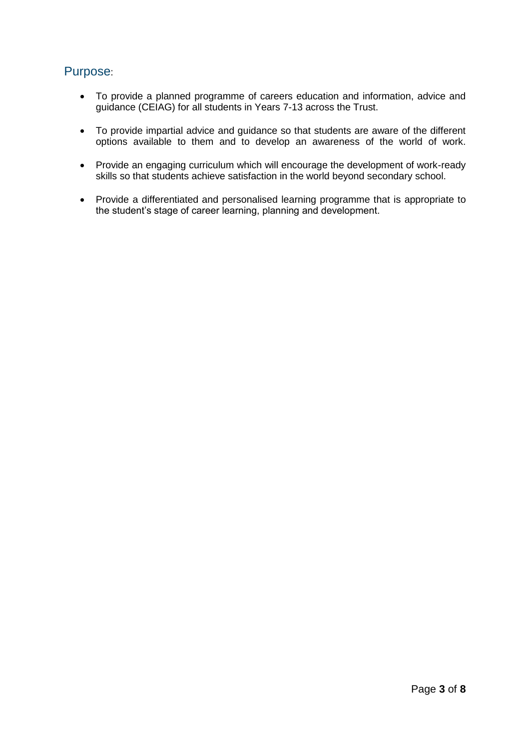# <span id="page-2-0"></span>Purpose:

- To provide a planned programme of careers education and information, advice and guidance (CEIAG) for all students in Years 7-13 across the Trust.
- To provide impartial advice and guidance so that students are aware of the different options available to them and to develop an awareness of the world of work.
- Provide an engaging curriculum which will encourage the development of work-ready skills so that students achieve satisfaction in the world beyond secondary school.
- Provide a differentiated and personalised learning programme that is appropriate to the student's stage of career learning, planning and development.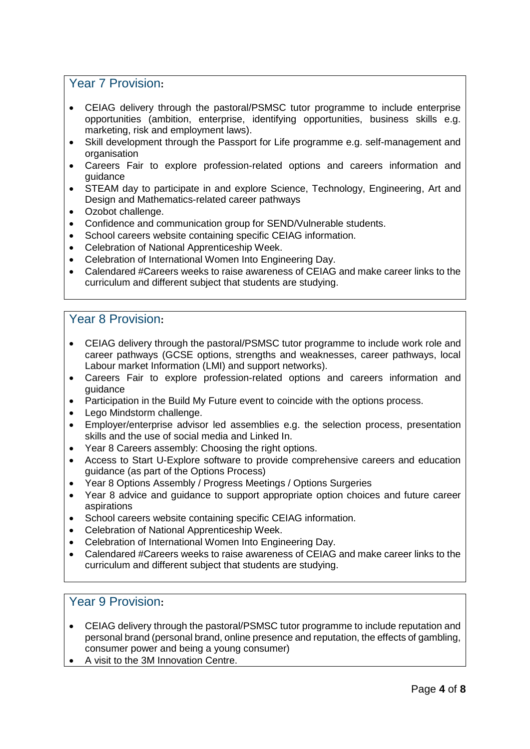#### <span id="page-3-0"></span>Year 7 Provision**:**

- CEIAG delivery through the pastoral/PSMSC tutor programme to include enterprise opportunities (ambition, enterprise, identifying opportunities, business skills e.g. marketing, risk and employment laws).
- Skill development through the Passport for Life programme e.g. self-management and organisation
- Careers Fair to explore profession-related options and careers information and guidance
- STEAM day to participate in and explore Science, Technology, Engineering, Art and Design and Mathematics-related career pathways
- Ozobot challenge.
- Confidence and communication group for SEND/Vulnerable students.
- School careers website containing specific CEIAG information.
- Celebration of National Apprenticeship Week.
- Celebration of International Women Into Engineering Day.
- Calendared #Careers weeks to raise awareness of CEIAG and make career links to the curriculum and different subject that students are studying.

#### <span id="page-3-1"></span>Year 8 Provision**:**

- CEIAG delivery through the pastoral/PSMSC tutor programme to include work role and career pathways (GCSE options, strengths and weaknesses, career pathways, local Labour market Information (LMI) and support networks).
- Careers Fair to explore profession-related options and careers information and guidance
- Participation in the Build My Future event to coincide with the options process.
- Lego Mindstorm challenge.
- Employer/enterprise advisor led assemblies e.g. the selection process, presentation skills and the use of social media and Linked In.
- Year 8 Careers assembly: Choosing the right options.
- Access to Start U-Explore software to provide comprehensive careers and education guidance (as part of the Options Process)
- Year 8 Options Assembly / Progress Meetings / Options Surgeries
- Year 8 advice and guidance to support appropriate option choices and future career aspirations
- School careers website containing specific CEIAG information.
- Celebration of National Apprenticeship Week.
- Celebration of International Women Into Engineering Day.
- Calendared #Careers weeks to raise awareness of CEIAG and make career links to the curriculum and different subject that students are studying.

## <span id="page-3-2"></span>Year 9 Provision**:**

- CEIAG delivery through the pastoral/PSMSC tutor programme to include reputation and personal brand (personal brand, online presence and reputation, the effects of gambling, consumer power and being a young consumer)
- A visit to the 3M Innovation Centre.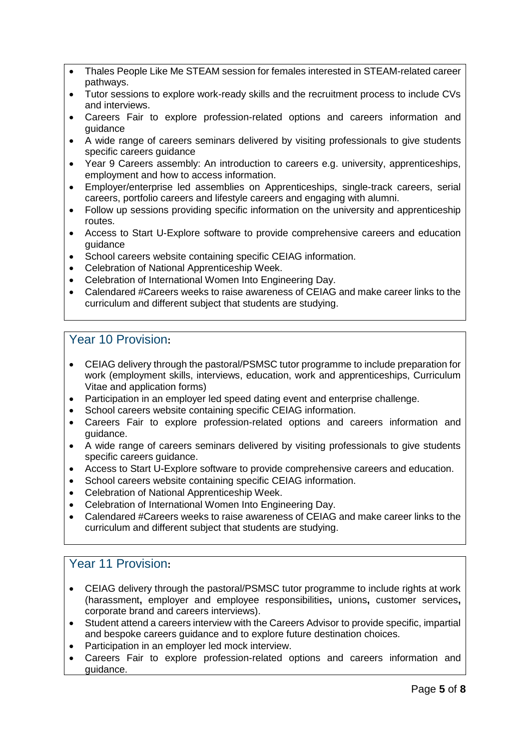- Thales People Like Me STEAM session for females interested in STEAM-related career pathways.
- Tutor sessions to explore work-ready skills and the recruitment process to include CVs and interviews.
- Careers Fair to explore profession-related options and careers information and guidance
- A wide range of careers seminars delivered by visiting professionals to give students specific careers guidance
- Year 9 Careers assembly: An introduction to careers e.g. university, apprenticeships, employment and how to access information.
- Employer/enterprise led assemblies on Apprenticeships, single-track careers, serial careers, portfolio careers and lifestyle careers and engaging with alumni.
- Follow up sessions providing specific information on the university and apprenticeship routes.
- Access to Start U-Explore software to provide comprehensive careers and education guidance
- School careers website containing specific CEIAG information.
- Celebration of National Apprenticeship Week.
- Celebration of International Women Into Engineering Day.
- Calendared #Careers weeks to raise awareness of CEIAG and make career links to the curriculum and different subject that students are studying.

## <span id="page-4-0"></span>Year 10 Provision**:**

- CEIAG delivery through the pastoral/PSMSC tutor programme to include preparation for work (employment skills, interviews, education, work and apprenticeships, Curriculum Vitae and application forms)
- Participation in an employer led speed dating event and enterprise challenge.
- School careers website containing specific CEIAG information.
- Careers Fair to explore profession-related options and careers information and guidance.
- A wide range of careers seminars delivered by visiting professionals to give students specific careers guidance.
- Access to Start U-Explore software to provide comprehensive careers and education.
- School careers website containing specific CEIAG information.
- Celebration of National Apprenticeship Week.
- Celebration of International Women Into Engineering Day.
- Calendared #Careers weeks to raise awareness of CEIAG and make career links to the curriculum and different subject that students are studying.

# <span id="page-4-1"></span>Year 11 Provision**:**

- CEIAG delivery through the pastoral/PSMSC tutor programme to include rights at work (harassment**,** employer and employee responsibilities**,** unions**,** customer services**,**  corporate brand and careers interviews).
- Student attend a careers interview with the Careers Advisor to provide specific, impartial and bespoke careers guidance and to explore future destination choices.
- Participation in an employer led mock interview.
- Careers Fair to explore profession-related options and careers information and guidance.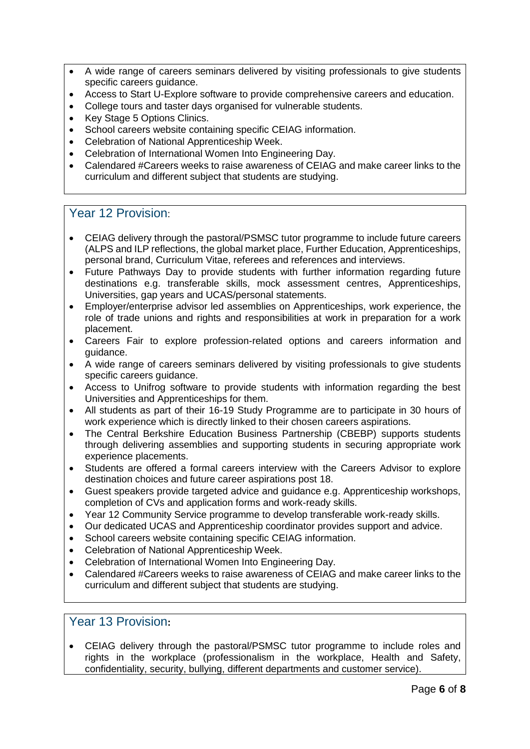- A wide range of careers seminars delivered by visiting professionals to give students specific careers quidance.
- Access to Start U-Explore software to provide comprehensive careers and education.
- College tours and taster days organised for vulnerable students.
- Key Stage 5 Options Clinics.
- School careers website containing specific CEIAG information.
- Celebration of National Apprenticeship Week.
- Celebration of International Women Into Engineering Day.
- Calendared #Careers weeks to raise awareness of CEIAG and make career links to the curriculum and different subject that students are studying.

#### <span id="page-5-0"></span>Year 12 Provision:

- CEIAG delivery through the pastoral/PSMSC tutor programme to include future careers (ALPS and ILP reflections, the global market place, Further Education, Apprenticeships, personal brand, Curriculum Vitae, referees and references and interviews.
- Future Pathways Day to provide students with further information regarding future destinations e.g. transferable skills, mock assessment centres, Apprenticeships, Universities, gap years and UCAS/personal statements.
- Employer/enterprise advisor led assemblies on Apprenticeships, work experience, the role of trade unions and rights and responsibilities at work in preparation for a work placement.
- Careers Fair to explore profession-related options and careers information and guidance.
- A wide range of careers seminars delivered by visiting professionals to give students specific careers guidance.
- Access to Unifrog software to provide students with information regarding the best Universities and Apprenticeships for them.
- All students as part of their 16-19 Study Programme are to participate in 30 hours of work experience which is directly linked to their chosen careers aspirations.
- The Central Berkshire Education Business Partnership (CBEBP) supports students through delivering assemblies and supporting students in securing appropriate work experience placements.
- Students are offered a formal careers interview with the Careers Advisor to explore destination choices and future career aspirations post 18.
- Guest speakers provide targeted advice and guidance e.g. Apprenticeship workshops, completion of CVs and application forms and work-ready skills.
- Year 12 Community Service programme to develop transferable work-ready skills.
- Our dedicated UCAS and Apprenticeship coordinator provides support and advice.
- School careers website containing specific CEIAG information.
- Celebration of National Apprenticeship Week.
- Celebration of International Women Into Engineering Day.
- Calendared #Careers weeks to raise awareness of CEIAG and make career links to the curriculum and different subject that students are studying.

# <span id="page-5-1"></span>Year 13 Provision**:**

• CEIAG delivery through the pastoral/PSMSC tutor programme to include roles and rights in the workplace (professionalism in the workplace, Health and Safety, confidentiality, security, bullying, different departments and customer service).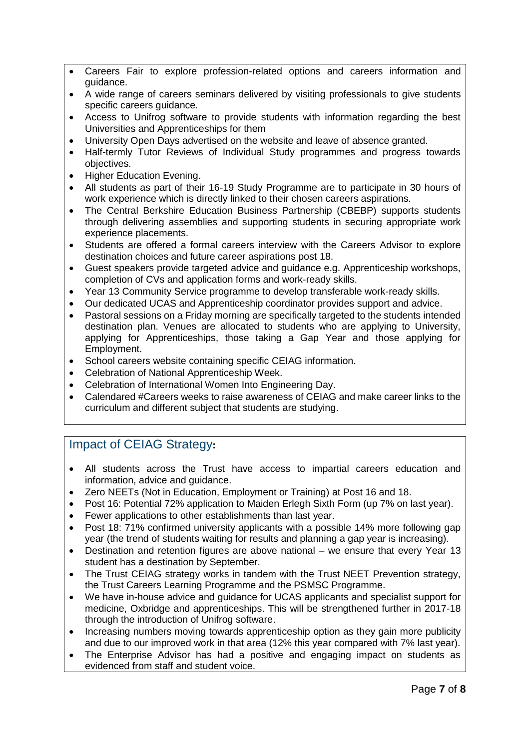- Careers Fair to explore profession-related options and careers information and guidance.
- A wide range of careers seminars delivered by visiting professionals to give students specific careers guidance.
- Access to Unifrog software to provide students with information regarding the best Universities and Apprenticeships for them
- University Open Days advertised on the website and leave of absence granted.
- Half-termly Tutor Reviews of Individual Study programmes and progress towards objectives.
- Higher Education Evening.
- All students as part of their 16-19 Study Programme are to participate in 30 hours of work experience which is directly linked to their chosen careers aspirations.
- The Central Berkshire Education Business Partnership (CBEBP) supports students through delivering assemblies and supporting students in securing appropriate work experience placements.
- Students are offered a formal careers interview with the Careers Advisor to explore destination choices and future career aspirations post 18.
- Guest speakers provide targeted advice and guidance e.g. Apprenticeship workshops, completion of CVs and application forms and work-ready skills.
- Year 13 Community Service programme to develop transferable work-ready skills.
- Our dedicated UCAS and Apprenticeship coordinator provides support and advice.
- Pastoral sessions on a Friday morning are specifically targeted to the students intended destination plan. Venues are allocated to students who are applying to University, applying for Apprenticeships, those taking a Gap Year and those applying for Employment.
- School careers website containing specific CEIAG information.
- Celebration of National Apprenticeship Week.
- Celebration of International Women Into Engineering Day.
- Calendared #Careers weeks to raise awareness of CEIAG and make career links to the curriculum and different subject that students are studying.

## <span id="page-6-0"></span>Impact of CEIAG Strategy**:**

- All students across the Trust have access to impartial careers education and information, advice and guidance.
- Zero NEETs (Not in Education, Employment or Training) at Post 16 and 18.
- Post 16: Potential 72% application to Maiden Erlegh Sixth Form (up 7% on last year).
- Fewer applications to other establishments than last year.
- Post 18: 71% confirmed university applicants with a possible 14% more following gap year (the trend of students waiting for results and planning a gap year is increasing).
- Destination and retention figures are above national we ensure that every Year 13 student has a destination by September.
- The Trust CEIAG strategy works in tandem with the Trust NEET Prevention strategy, the Trust Careers Learning Programme and the PSMSC Programme.
- We have in-house advice and guidance for UCAS applicants and specialist support for medicine, Oxbridge and apprenticeships. This will be strengthened further in 2017-18 through the introduction of Unifrog software.
- Increasing numbers moving towards apprenticeship option as they gain more publicity and due to our improved work in that area (12% this year compared with 7% last year).
- The Enterprise Advisor has had a positive and engaging impact on students as evidenced from staff and student voice.